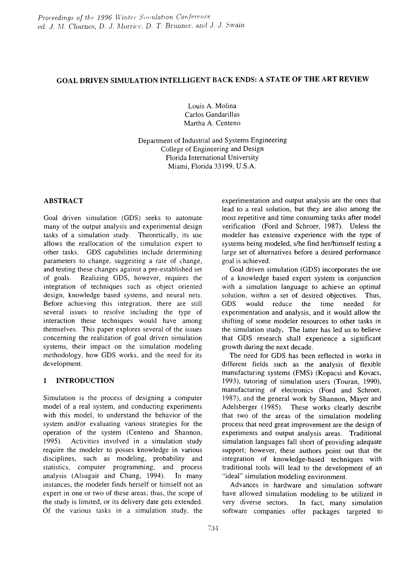# GOAL DRIVEN SIMULATION INTELLIGENT BACK ENDS: A STATE OF THE ART REVIEW

Louis A. Molina Carlos Gandarillas Martha A. Centeno

Department of Industrial and Systems Engineering College of Engineering and Design Florida International University Miami, Florida 33199, U.S.A.

# ABSTRACT

Goal driven simulation (GDS) seeks to automate many of the output analysis and experimental design tasks of a simulation study. Theoretically, its use allows the reallocation of the simulation expert to other tasks. GDS capabilities include determining parameters to change, suggesting a rate of change, and testing these changes against a pre-established set of goals. Realizing GDS, however, requires the integration of techniques such as object oriented design, knowledge based systems, and neural nets. Before achieving this integration, there are still several issues to resolve including the type of interaction these techniques would have among themselves. This paper explores several of the issues concerning the realization of goal driven simulation systems, their impact on the simulation modeling methodology, how GDS works, and the need for its development.

# 1 INTRODUCTION

Simulation is the process of designing a computer model of a real system, and conducting experiments with this model, to understand the behavior of the system and/or evaluating various strategies for the operation of the system (Centeno and Shannon, 1995). Activities involved in a simulation study require the modeler to posses knowledge in various disciplines, such as modeling, probability and statistics, computer programming, and process analysis (Alsugair and Chang, 1994). In many instances, the modeler finds herself or himself not an expert in one or two of these areas; thus, the scope of the study is limited, or its delivery date gets extended. Of the various tasks in a simulation study, the

experimentation and output analysis are the ones that lead to a real solution, but they are also among the most repetitive and time consuming tasks after model verification (Ford and Schroer, 1987). Unless the modeler has extensive experience with the type of systems being modeled, s/he find her/himself testing a large set of alternatives before a desired performance goal is achieved.

Goal driven simulation (GDS) incorporates the use of a knowledge based expert system in conjunction with a simulation language to achieve an optimal solution, within a set of desired objectives. Thus, GDS would reduce the time needed for experimentation and analysis, and it would allow the shifting of some modeler resources to other tasks in the simulation study. The latter has led us to believe that GDS research shall experience a significant growth during the next decade.

The need for GDS has been reflected in works in different fields such as the analysis of flexible manufacturing systems (FMS) (Kopacsi and Kovacs, 1993), tutoring of simulation users (Touran, 1990), manufacturing of electronics (Ford and Schroer, 1987), and the general work by Shannon, Mayer and Adelsberger (1985). These works clearly describe that two of the areas of the simulation modeling process that need great improvement are the design of experiments and output analysis areas. Traditional simulation languages fall short of providing adequate support; however, these authors point out that the integration of knowledge-based techniques with traditional tools will lead to the development of an "ideal" simulation modeling environment.

Advances in hardware and simulation software have allowed simulation modeling to be utilized in very diverse sectors. In fact, many simulation software companies offer packages targeted to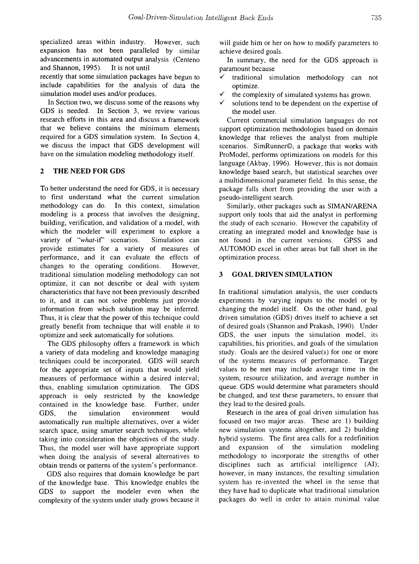specialized areas within industry. However, such expansion has not been paralleled by similar advancements in automated output analysis (Centeno and Shannon, 1995). It is not until

recently that some simulation packages have begun to include capabilities for the analysis of data the simulation model uses and/or produces.

In Section two, we discuss some of the reasons why GDS is needed. In Section 3, we review various research efforts in this area and discuss a framework that we believe contains the minimum elements required for a ODS simulation system. In Section 4, we discuss the impact that ODS development will have on the simulation modeling methodology itself.

## 2 THE NEED FOR GDS

To better understand the need for GDS, it is necessary to first understand what the current simulation methodology can do. In this context, simulation modeling is a process that involves the designing, building, verification, and validation of a model, with which the modeler will experiment to explore a variety of *"what-if'* scenarios. Simulation can provide estimates for a variety of measures of performance, and it can evaluate the effects of changes to the operating conditions. However, traditional simulation modeling methodology can not optimize, it can not describe or deal with system characteristics that have not been previously described to it, and it can not solve problems just provide information from which solution may be inferred. Thus, it is clear that the power of this technique could greatly benefit from technique that will enable it to optimize and seek automatically for solutions.

The GDS philosophy offers a framework in which a variety of data modeling and knowledge managing techniques could be incorporated. GDS will search for the appropriate set of inputs that would yield measures of performance within a desired interval; thus, enabling simulation optimization. The GDS approach is only restricted by the knowledge contained in the knowledge base. Further, under GDS, the simulation environment would automatically run multiple alternatives, over a wider search space, using smarter search techniques, while taking into consideration the objectives of the study. Thus, the model user will have appropriate support when doing the analysis of several alternatives to obtain trends or patterns of the system's performance.

GDS also requires that domain knowledge be part of the knowledge base. This knowledge enables the GDS to support the modeler even when the complexity of the system under study grows because it will guide him or her on how to modify parameters to achieve desired goals.

In summary, the need for the GDS approach is paramount because

- $\checkmark$  traditional simulation methodology can not optimize.
- the complexity of simulated systems has grown.
- $\checkmark$  solutions tend to be dependent on the expertise of the model user.

Current commercial simulation languages do not support optimization methodologies based on domain knowledge that relieves the analyst from multiple scenarios. SimRunner©, a package that works with ProModel, performs optimizations on models for this language (Akbay, 1996). However, this is not domain knowledge based search, but statistical searches over a multidimensional parameter field. In this sense, the package falls short from providing the user with a pseudo-intelligent search.

Similarly, other packages such as SIMAN/ARENA support only tools that aid the analyst in performing the study of each scenario. However the capability of creating an integrated model and knowledge base is not found in the current versions. GPSS and AUTOMOD excel in other areas but fall short in the optimization process.

## 3 GOAL DRIVEN SIMULATION

In traditional simulation analysis, the user conducts experiments by varying inputs to the model or by changing the model itself. On the other hand, goal driven simulation (GOS) drives itself to achieve a set of desired goals (Shannon and Prakash, 1990). Under GOS, the user inputs the simulation model, its capabilities, his priorities, and goals of the simulation study. Goals are the desired value(s) for one or more of the systems measures of performance. Target values to be met may include average time in the system, resource utilization, and average number in queue. GOS would determine what parameters should be changed, and test these parameters, to ensure that they lead to the desired goals.

Research in the area of goal driven simulation has focused on two major areas. These are 1) building new simulation systems altogether, and 2) building hybrid systems. The first area calls for a redefinition and expansion of the simulation modeling methodology to incorporate the strengths of other disciplines such as artificial intelligence (AI); however, in many instances, the resulting simulation system has re-invented the wheel in the sense that they have had to duplicate what traditional simulation packages do well in order to attain minimal value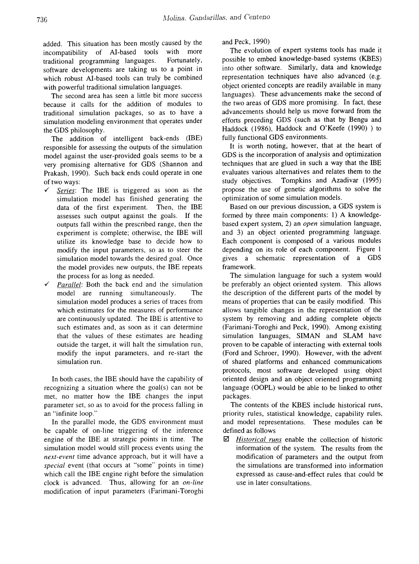added. This situation has been mostly caused by the incompatibility of AI-based tools with more traditional programming languages. Fortunately, software developments are taking us to a point in which robust AI-based tools can truly be combined with powerful traditional simulation languages.

The second area has seen a little bit more success because it calls for the addition of modules to traditional simulation packages, so as to have a simulation modeling environment that operates under the ODS philosophy.

The addition of intelligent back-ends (IBE) responsible for assessing the outputs of the simulation model against the user-provided goals seems to be a very promising alternative for ODS (Shannon and Prakash, 1990). Such back ends could operate in one of two ways:

- *Series:* The IBE is triggered as soon as the simulation model has finished generating the data of the first experiment. Then, the IBE assesses such output against the goals. If the outputs fall within the prescribed range, then the experiment is complete; otherwise, the IBE will utilize its knowledge base to decide how to modify the input parameters, so as to steer the simulation model towards the desired goal. Once the model provides new outputs, the IBE repeats the process for as long as needed.
- *Parallel:* Both the back end and the simulation model are running simultaneously. The simulation model produces a series of traces from which estimates for the measures of performance are continuously updated. The IBE is attentive to such estimates and, as soon as it can determine that the values of these estimates are heading outside the target, it will halt the simulation run, modify the input parameters, and re-start the simulation run.

In both cases, the IBE should have the capability of recognizing a situation where the goal(s) can not be met, no matter how the IBE changes the input parameter set, so as to avoid for the process falling in an "infinite loop."

In the parallel mode, the ODS environment must be capable of on-line triggering of the inference engine of the IBE at strategic points in time. The simulation model would still process events using the *next-event* time advance approach, but it will have a *special* event (that occurs at "some" points in time) which call the IBE engine right before the simulation clock is advanced. Thus, allowing for an *on-line* modification of input parameters (Farimani-Toroghi

and Peck, 1990)

The evolution of expert systems tools has made it possible to embed knowledge-based systems (KBES) into other software. Similarly, data and knowledge representation techniques have also advanced (e.g. object oriented concepts are readily available in many languages). These advancements make the second of the two areas of GDS more promising. In fact, these advancements should help us move forward from the efforts preceding GDS (such as that by Bengu and Haddock (1986), Haddock and O'Keefe (1990) ) to fully functional GDS environments.

It is worth noting, however, that at the heart of GDS is the incorporation of analysis and optimization techniques that are glued in such a way that the IBE evaluates various alternatives and relates them to the study objectives. Tompkins and Azadivar (1995) propose the use of genetic algorithms to solve the optimization of some simulation models.

Based on our previous discussion, a GDS system is formed by three main components: 1) A knowledgebased expert system, 2) an *open* simulation language, and 3) an object oriented programming language. Each component is composed of a various modules depending on its role of each component. Figure 1 gives a schematic representation of a ODS framework.

The simulation language for such a system would be preferably an object oriented system. This allows the description of the different parts of the model by means of properties that can be easily modified. This allows tangible changes in the representation of the system by removing and adding complete objects (Farimani-Toroghi and Peck, 1990). Among existing simulation languages, SIMAN and SLAM have proven to be capable of interacting with external tools (Ford and Schroer, 1990). However, with the advent of shared platforms and enhanced communications protocols, most software developed using object oriented design and an object oriented programming language (OOPL) would be able to be linked to other packages.

The contents of the KBES include historical runs, priority rules, statistical knowledge, capability rules, and model representations. These modules can be defined as follows

*0" Historical runs* enable the collection of historic information of the system. The results from the modification of parameters and the output from the simulations are transformed into information expressed as cause-and-effect rules that could be use in later consultations.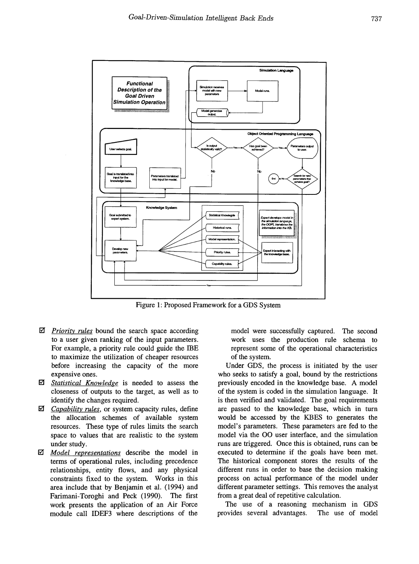

Figure 1: Proposed Framework for a GDS System

- $\overline{2}$  *Priority rules* bound the search space according to a user given ranking of the input parameters. For example, a priority rule could guide the IBE to maximize the utilization of cheaper resources before increasing the capacity of the more expensive ones.
- *Statistical Knowledge* is needed to assess the closeness of outputs to the target, as well as to identify the changes required.
- **Ø** *Capability rules*, or system capacity rules, define the allocation schemes of available system resources. These type of rules limits the search space to values that are realistic to the system under study.
- IiI *Model representations* describe the model in terms of operational rules, including precedence relationships, entity flows, and any physical constraints fixed to the system. Works in this area include that by Benjamin et al. (1994) and Farimani-Toroghi and Peck (1990). The first work presents the application of an Air Force module call IDEF3 where descriptions of the

model were successfully captured. The second work uses the production rule schema to represent some of the operational characteristics of the system.

Under GDS, the process is initiated by the user who seeks to satisfy a goal, bound by the restrictions previously encoded in the knowledge base. A model of the system is coded in the simulation language. It is then verified and validated. The goal requirements are passed to the knowledge base, which in turn would be accessed by the KBES to generates the model's parameters. These parameters are fed to the model via the 00 user interface, and the simulation runs are triggered. Once this is obtained, runs can be executed to determine if the goals have been met. The historical component stores the results of the different runs in order to base the decision making process on actual performance of the model under different parameter settings. This removes the analyst from a great deal of repetitive calculation.

The use of a reasoning mechanism in GDS provides several advantages. The use of model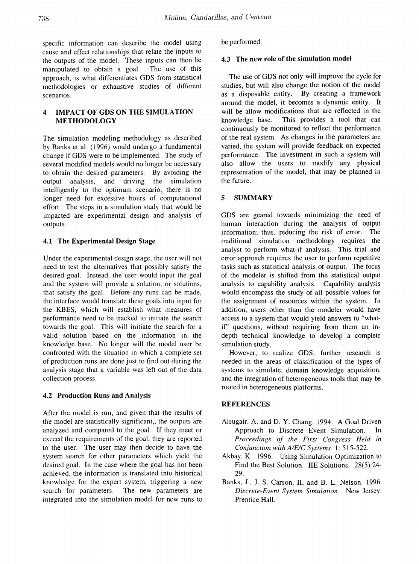specific information can describe the model using cause and effect relationships that relate the inputs to the outputs of the model. These inputs can then be manipulated to obtain a goal. The use of this approach, is what differentiates GDS from statistical methodologies or exhaustive studies of different scenarios.

# 4 IMPACT OF GDS ON THE SIMULATION METHODOLOGY

The simulation modeling methodology as described by Banks et al. (1996) would undergo a fundamental change if GDS were to be implemented. The study of several modified models would no longer be necessary to obtain the desired parameters. By avoiding the output analysis, and driving the simulation intelligently to the optimum scenario, there is no longer need for excessive hours of computational effort. The steps in a simulation study that would be impacted are experimental design and analysis of outputs.

## 4.1 The Experimental Design Stage

Under the experimental design stage, the user will not need to test the alternatives that possibly satisfy the desired goal. Instead, the user would input the goal and the system will provide a solution, or solutions, that satisfy the goal. Before any runs can be made, the interface would translate these goals into input for the KBES, which will establish what measures of performance need to be tracked to initiate the search towards the goal. This will initiate the search for a valid solution based on the information in the knowledge base. No longer will the model user be confronted with the situation in which a complete set of production runs are done just to find out during the analysis stage that a variable was left out of the data collection process.

## 4.2 Production Runs and Analysis

After the model is run, and given that the results of the model are statistically significant,, the outputs are analyzed and compared to the goal. If they meet or exceed the requirements of the goal, they are reported to the user. The user may then decide to have the system search for other parameters which yield the desired goal. In the case where the goal has not been achieved, the information is translated into historical knowledge for the expert system, triggering a new search for parameters. The new parameters are integrated into the simulation model for new runs to be performed.

## 4.3 The new role of the simulation model

The use of GDS not only will improve the cycle for studies, but will also change the notion of the model as a disposable entity. By creating a framework around the model, it becomes a dynamic entity. It will be allow modifications that are reflected in the knowledge base. This provides a tool that can continuously be monitored to reflect the performance of the real system. As changes in the parameters are varied, the system will provide feedback on expected performance. The investment in such a system will also allow the users to modify any physical representation of the model, that may be planned in the future.

## 5 SUMMARY

GDS are geared towards minimizing the need of human interaction during the analysis of output information; thus, reducing the risk of error. The traditional simulation methodology requires the analyst to perform what-if analysis. This trial and error approach requires the user to perform repetitive tasks such as statistical analysis of output. The focus of the modeler is shifted from the statistical output analysis to capability analysis. Capability analysis would encompass the study of all possible values for the assignment of resources within the system. In addition, users other than the modeler would have access to a system that would yield answers to "whatif' questions, without requiring from them an indepth technical knowledge to develop a complete simulation study.

However, to realize GDS, further research is needed in the areas of classification of the types of systems to simulate, domain knowledge acquisition, and the integration of heterogeneous tools that may be rooted in heterogeneous platforms.

## REFERENCES

- Alsugair, A. and D. Y. Chang. 1994. A Goal Driven Approach to Discrete Event Simulation. In *Proceedings of the First Congress Held in Conjunction with A/E/C Systems.* 1: 515-522.
- Akbay, K. 1996. Using Simulation Optimization to Find the Best Solution. IIE Solutions. 28(5):24-29.
- Banks, J., J. S. Carson, II, and B. L. Nelson. 1996. *Discrete-Event System Simulation.* New Jersey: Prentice Hall.